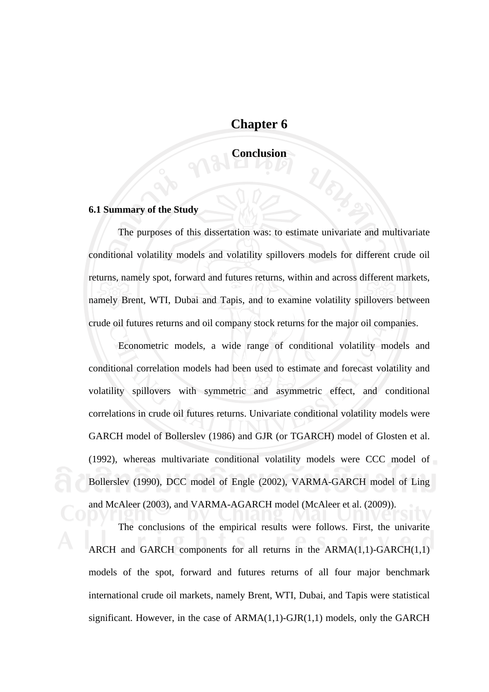## **Chapter 6**

## **Conclusion**

## **6.1 Summary of the Study**

The purposes of this dissertation was: to estimate univariate and multivariate conditional volatility models and volatility spillovers models for different crude oil returns, namely spot, forward and futures returns, within and across different markets, namely Brent, WTI, Dubai and Tapis, and to examine volatility spillovers between crude oil futures returns and oil company stock returns for the major oil companies.

 Econometric models, a wide range of conditional volatility models and conditional correlation models had been used to estimate and forecast volatility and volatility spillovers with symmetric and asymmetric effect, and conditional correlations in crude oil futures returns. Univariate conditional volatility models were GARCH model of Bollerslev (1986) and GJR (or TGARCH) model of Glosten et al. (1992), whereas multivariate conditional volatility models were CCC model of Bollerslev (1990), DCC model of Engle (2002), VARMA-GARCH model of Ling and McAleer (2003), and VARMA-AGARCH model (McAleer et al. (2009)).

 The conclusions of the empirical results were follows. First, the univarite ARCH and GARCH components for all returns in the ARMA(1,1)-GARCH(1,1) models of the spot, forward and futures returns of all four major benchmark international crude oil markets, namely Brent, WTI, Dubai, and Tapis were statistical significant. However, in the case of  $ARMA(1,1)-GJR(1,1)$  models, only the GARCH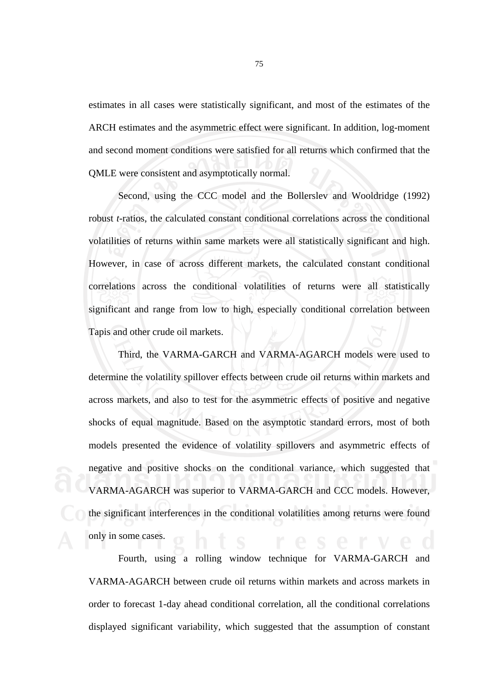estimates in all cases were statistically significant, and most of the estimates of the ARCH estimates and the asymmetric effect were significant. In addition, log-moment and second moment conditions were satisfied for all returns which confirmed that the QMLE were consistent and asymptotically normal.

 Second, using the CCC model and the Bollerslev and Wooldridge (1992) robust *t*-ratios, the calculated constant conditional correlations across the conditional volatilities of returns within same markets were all statistically significant and high. However, in case of across different markets, the calculated constant conditional correlations across the conditional volatilities of returns were all statistically significant and range from low to high, especially conditional correlation between Tapis and other crude oil markets.

 Third, the VARMA-GARCH and VARMA-AGARCH models were used to determine the volatility spillover effects between crude oil returns within markets and across markets, and also to test for the asymmetric effects of positive and negative shocks of equal magnitude. Based on the asymptotic standard errors, most of both models presented the evidence of volatility spillovers and asymmetric effects of negative and positive shocks on the conditional variance, which suggested that VARMA-AGARCH was superior to VARMA-GARCH and CCC models. However, the significant interferences in the conditional volatilities among returns were found only in some cases.

 Fourth, using a rolling window technique for VARMA-GARCH and VARMA-AGARCH between crude oil returns within markets and across markets in order to forecast 1-day ahead conditional correlation, all the conditional correlations displayed significant variability, which suggested that the assumption of constant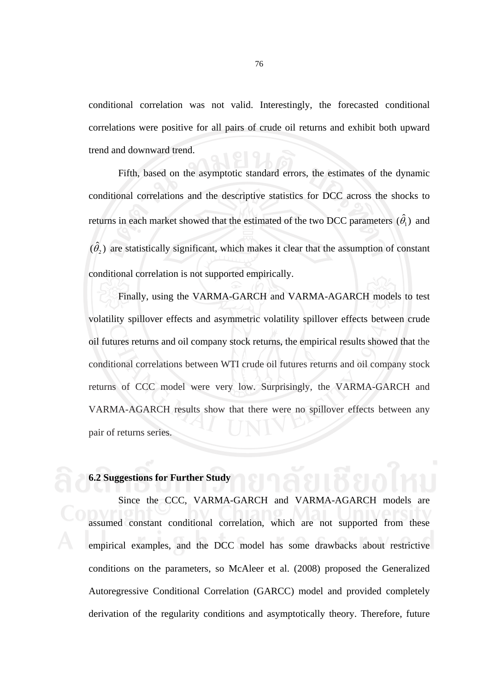conditional correlation was not valid. Interestingly, the forecasted conditional correlations were positive for all pairs of crude oil returns and exhibit both upward trend and downward trend.

 Fifth, based on the asymptotic standard errors, the estimates of the dynamic conditional correlations and the descriptive statistics for DCC across the shocks to returns in each market showed that the estimated of the two DCC parameters  $(\hat{\theta}_1)$  and  $(\hat{\theta}_2)$  are statistically significant, which makes it clear that the assumption of constant conditional correlation is not supported empirically.

 Finally, using the VARMA-GARCH and VARMA-AGARCH models to test volatility spillover effects and asymmetric volatility spillover effects between crude oil futures returns and oil company stock returns, the empirical results showed that the conditional correlations between WTI crude oil futures returns and oil company stock returns of CCC model were very low. Surprisingly, the VARMA-GARCH and VARMA-AGARCH results show that there were no spillover effects between any pair of returns series.

## **6.2 Suggestions for Further Study**

 Since the CCC, VARMA-GARCH and VARMA-AGARCH models are assumed constant conditional correlation, which are not supported from these empirical examples, and the DCC model has some drawbacks about restrictive conditions on the parameters, so McAleer et al. (2008) proposed the Generalized Autoregressive Conditional Correlation (GARCC) model and provided completely derivation of the regularity conditions and asymptotically theory. Therefore, future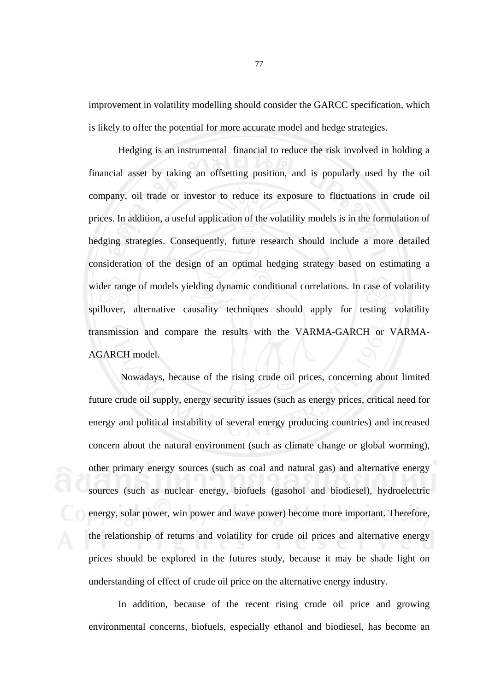improvement in volatility modelling should consider the GARCC specification, which is likely to offer the potential for more accurate model and hedge strategies.

 Hedging is an instrumental financial to reduce the risk involved in holding a financial asset by taking an offsetting position, and is popularly used by the oil company, oil trade or investor to reduce its exposure to fluctuations in crude oil prices. In addition, a useful application of the volatility models is in the formulation of hedging strategies. Consequently, future research should include a more detailed consideration of the design of an optimal hedging strategy based on estimating a wider range of models yielding dynamic conditional correlations. In case of volatility spillover, alternative causality techniques should apply for testing volatility transmission and compare the results with the VARMA-GARCH or VARMA-AGARCH model.

 Nowadays, because of the rising crude oil prices, concerning about limited future crude oil supply, energy security issues (such as energy prices, critical need for energy and political instability of several energy producing countries) and increased concern about the natural environment (such as climate change or global worming), other primary energy sources (such as coal and natural gas) and alternative energy sources (such as nuclear energy, biofuels (gasohol and biodiesel), hydroelectric energy, solar power, win power and wave power) become more important. Therefore, the relationship of returns and volatility for crude oil prices and alternative energy prices should be explored in the futures study, because it may be shade light on understanding of effect of crude oil price on the alternative energy industry.

 In addition, because of the recent rising crude oil price and growing environmental concerns, biofuels, especially ethanol and biodiesel, has become an